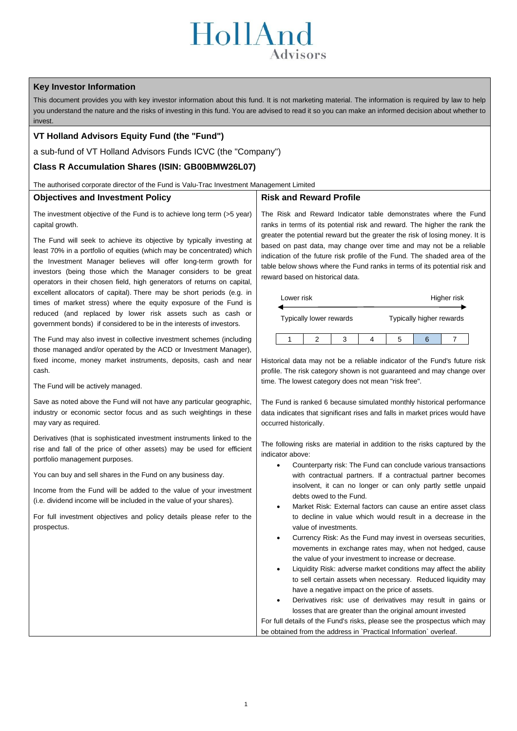# HollAnd Advisors

# **Key Investor Information**

This document provides you with key investor information about this fund. It is not marketing material. The information is required by law to help you understand the nature and the risks of investing in this fund. You are advised to read it so you can make an informed decision about whether to invest.

# **VT Holland Advisors Equity Fund (the "Fund")**

a sub-fund of VT Holland Advisors Funds ICVC (the "Company")

## **Class R Accumulation Shares (ISIN: GB00BMW26L07)**

The authorised corporate director of the Fund is Valu-Trac Investment Management Limited

### **Objectives and Investment Policy**

**Risk and Reward Profile**

The investment objective of the Fund is to achieve long term (>5 year) capital growth.

The Fund will seek to achieve its objective by typically investing at least 70% in a portfolio of equities (which may be concentrated) which the Investment Manager believes will offer long-term growth for investors (being those which the Manager considers to be great operators in their chosen field, high generators of returns on capital, excellent allocators of capital). There may be short periods (e.g. in times of market stress) where the equity exposure of the Fund is reduced (and replaced by lower risk assets such as cash or government bonds) if considered to be in the interests of investors.

The Fund may also invest in collective investment schemes (including those managed and/or operated by the ACD or Investment Manager), fixed income, money market instruments, deposits, cash and near cash.

The Fund will be actively managed.

Save as noted above the Fund will not have any particular geographic, industry or economic sector focus and as such weightings in these may vary as required.

Derivatives (that is sophisticated investment instruments linked to the rise and fall of the price of other assets) may be used for efficient portfolio management purposes.

You can buy and sell shares in the Fund on any business day.

Income from the Fund will be added to the value of your investment (i.e. dividend income will be included in the value of your shares).

For full investment objectives and policy details please refer to the prospectus.

The Risk and Reward Indicator table demonstrates where the Fund ranks in terms of its potential risk and reward. The higher the rank the greater the potential reward but the greater the risk of losing money. It is based on past data, may change over time and may not be a reliable indication of the future risk profile of the Fund. The shaded area of the table below shows where the Fund ranks in terms of its potential risk and reward based on historical data.

| Lower risk |                         |  | Higher risk              |  |  |
|------------|-------------------------|--|--------------------------|--|--|
|            | Typically lower rewards |  | Typically higher rewards |  |  |
|            |                         |  |                          |  |  |

Historical data may not be a reliable indicator of the Fund's future risk profile. The risk category shown is not guaranteed and may change over time. The lowest category does not mean "risk free".

The Fund is ranked 6 because simulated monthly historical performance data indicates that significant rises and falls in market prices would have occurred historically.

The following risks are material in addition to the risks captured by the indicator above:

- Counterparty risk: The Fund can conclude various transactions with contractual partners. If a contractual partner becomes insolvent, it can no longer or can only partly settle unpaid debts owed to the Fund.
- Market Risk: External factors can cause an entire asset class to decline in value which would result in a decrease in the value of investments.
- Currency Risk: As the Fund may invest in overseas securities, movements in exchange rates may, when not hedged, cause the value of your investment to increase or decrease.
- Liquidity Risk: adverse market conditions may affect the ability to sell certain assets when necessary. Reduced liquidity may have a negative impact on the price of assets.
- Derivatives risk: use of derivatives may result in gains or losses that are greater than the original amount invested

For full details of the Fund's risks, please see the prospectus which may be obtained from the address in `Practical Information` overleaf.